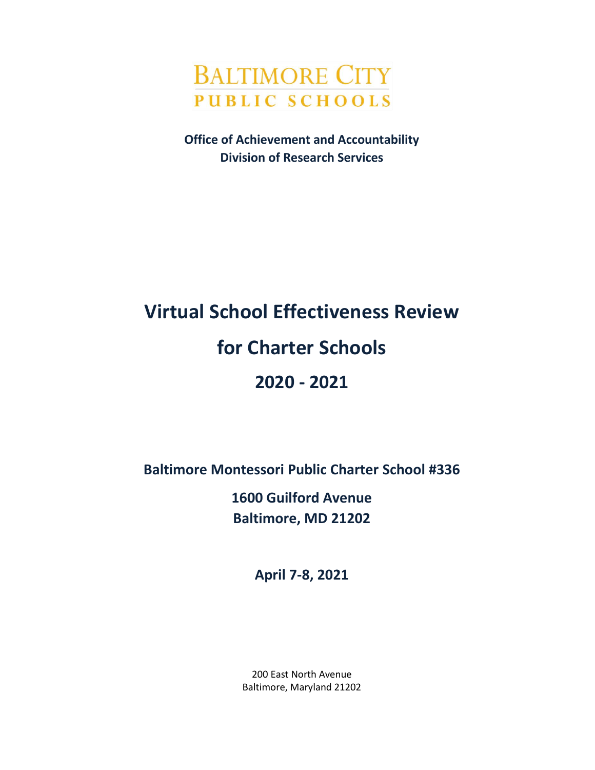

**Office of Achievement and Accountability Division of Research Services**

# **Virtual School Effectiveness Review for Charter Schools 2020 - 2021**

**Baltimore Montessori Public Charter School #336**

**1600 Guilford Avenue Baltimore, MD 21202**

**April 7-8, 2021**

200 East North Avenue Baltimore, Maryland 21202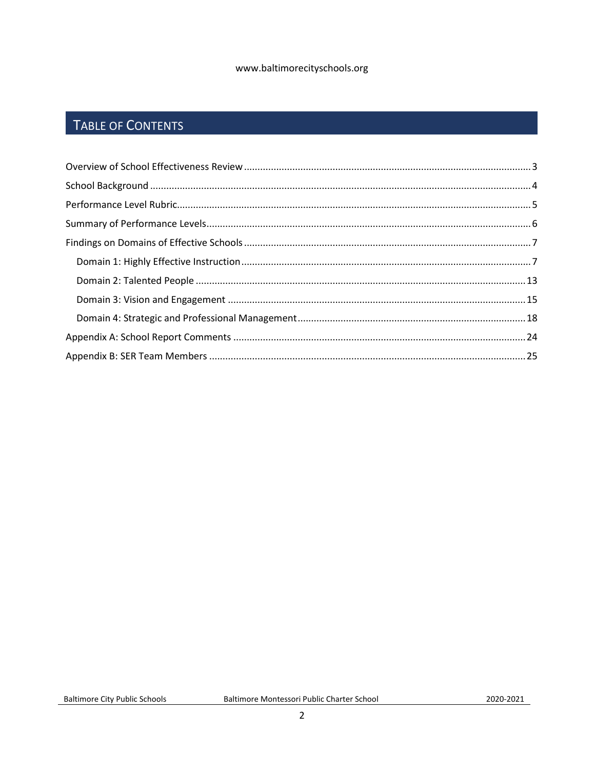#### www.baltimorecityschools.org

# TABLE OF CONTENTS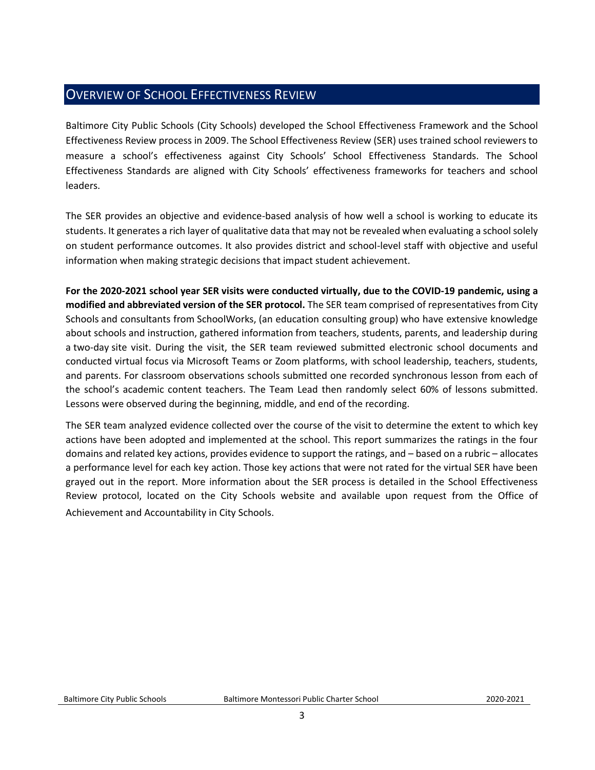# <span id="page-2-0"></span>OVERVIEW OF SCHOOL EFFECTIVENESS REVIEW

Baltimore City Public Schools (City Schools) developed the School Effectiveness Framework and the School Effectiveness Review process in 2009. The School Effectiveness Review (SER) uses trained school reviewers to measure a school's effectiveness against City Schools' School Effectiveness Standards. The School Effectiveness Standards are aligned with City Schools' effectiveness frameworks for teachers and school leaders.

The SER provides an objective and evidence-based analysis of how well a school is working to educate its students. It generates a rich layer of qualitative data that may not be revealed when evaluating a school solely on student performance outcomes. It also provides district and school-level staff with objective and useful information when making strategic decisions that impact student achievement.

**For the 2020-2021 school year SER visits were conducted virtually, due to the COVID-19 pandemic, using a modified and abbreviated version of the SER protocol.** The SER team comprised of representatives from City Schools and consultants from SchoolWorks, (an education consulting group) who have extensive knowledge about schools and instruction, gathered information from teachers, students, parents, and leadership during a two-day site visit. During the visit, the SER team reviewed submitted electronic school documents and conducted virtual focus via Microsoft Teams or Zoom platforms, with school leadership, teachers, students, and parents. For classroom observations schools submitted one recorded synchronous lesson from each of the school's academic content teachers. The Team Lead then randomly select 60% of lessons submitted. Lessons were observed during the beginning, middle, and end of the recording.

The SER team analyzed evidence collected over the course of the visit to determine the extent to which key actions have been adopted and implemented at the school. This report summarizes the ratings in the four domains and related key actions, provides evidence to support the ratings, and – based on a rubric – allocates a performance level for each key action. Those key actions that were not rated for the virtual SER have been grayed out in the report. More information about the SER process is detailed in the School Effectiveness Review protocol, located on the City Schools website and available upon request from the Office of Achievement and Accountability in City Schools. **\\**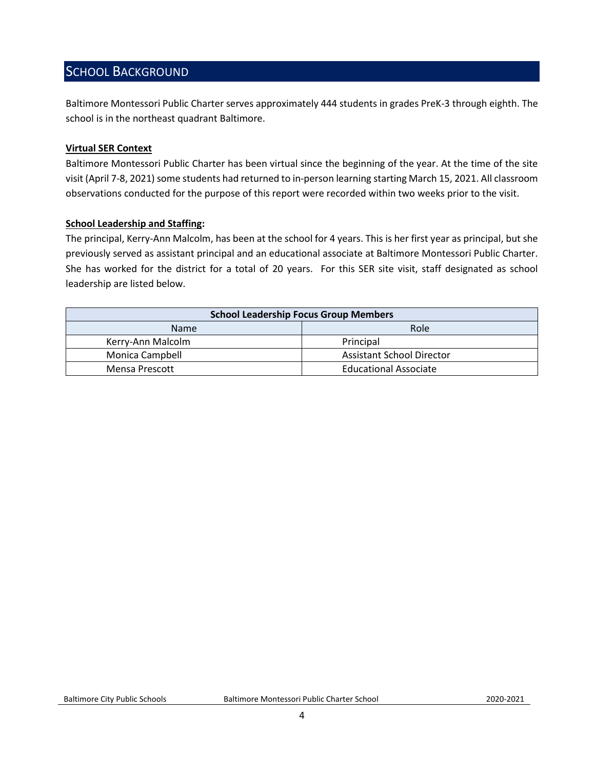# <span id="page-3-0"></span>SCHOOL BACKGROUND

Baltimore Montessori Public Charter serves approximately 444 students in grades PreK-3 through eighth. The school is in the northeast quadrant Baltimore.

#### **Virtual SER Context**

Baltimore Montessori Public Charter has been virtual since the beginning of the year. At the time of the site visit (April 7-8, 2021) some students had returned to in-person learning starting March 15, 2021. All classroom observations conducted for the purpose of this report were recorded within two weeks prior to the visit.

#### **School Leadership and Staffing:**

The principal, Kerry-Ann Malcolm, has been at the school for 4 years. This is her first year as principal, but she previously served as assistant principal and an educational associate at Baltimore Montessori Public Charter. She has worked for the district for a total of 20 years. For this SER site visit, staff designated as school leadership are listed below.

<span id="page-3-1"></span>

| <b>School Leadership Focus Group Members</b> |                                  |  |  |
|----------------------------------------------|----------------------------------|--|--|
| Role<br><b>Name</b>                          |                                  |  |  |
| Kerry-Ann Malcolm                            | Principal                        |  |  |
| Monica Campbell                              | <b>Assistant School Director</b> |  |  |
| Mensa Prescott                               | <b>Educational Associate</b>     |  |  |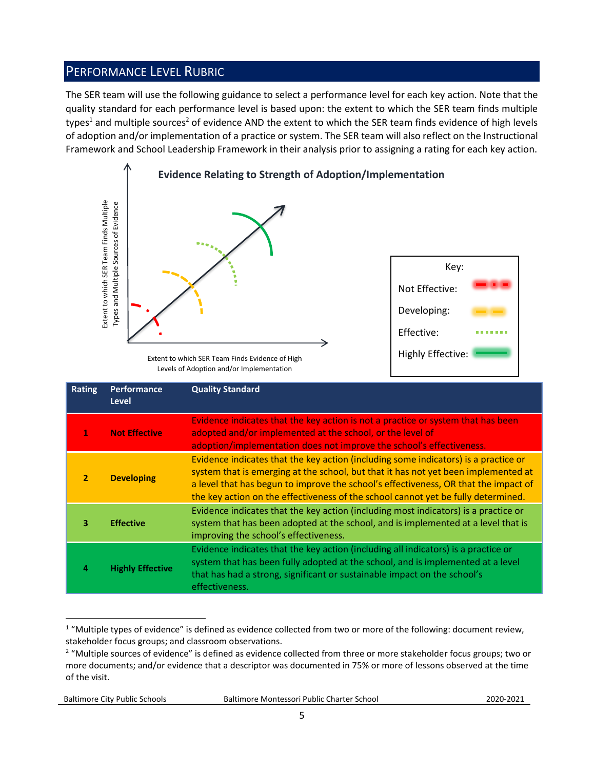# PERFORMANCE LEVEL RUBRIC

The SER team will use the following guidance to select a performance level for each key action. Note that the quality standard for each performance level is based upon: the extent to which the SER team finds multiple types<sup>1</sup> and multiple sources<sup>2</sup> of evidence AND the extent to which the SER team finds evidence of high levels of adoption and/or implementation of a practice or system. The SER team will also reflect on the Instructional Framework and School Leadership Framework in their analysis prior to assigning a rating for each key action.



Levels of Adoption and/or Implementation

|                | Extent to which SER Team Finds Multiple<br>Types and Multiple Sources of Evidence                                                                                                                                                                                                                                                                                          | Extent to which SER Team Finds Evidence of High<br>Levels of Adoption and/or Implementation                                                                                                                                                                                                                                                                                                                                                    | Key:<br>Not Effective:<br>Developing:<br>Effective:<br><b>Highly Effective:</b> |  |
|----------------|----------------------------------------------------------------------------------------------------------------------------------------------------------------------------------------------------------------------------------------------------------------------------------------------------------------------------------------------------------------------------|------------------------------------------------------------------------------------------------------------------------------------------------------------------------------------------------------------------------------------------------------------------------------------------------------------------------------------------------------------------------------------------------------------------------------------------------|---------------------------------------------------------------------------------|--|
| <b>Rating</b>  | Performance<br><b>Level</b>                                                                                                                                                                                                                                                                                                                                                | <b>Quality Standard</b>                                                                                                                                                                                                                                                                                                                                                                                                                        |                                                                                 |  |
| 1              | Evidence indicates that the key action is not a practice or system that has been<br><b>Not Effective</b><br>adopted and/or implemented at the school, or the level of<br>adoption/implementation does not improve the school's effectiveness.                                                                                                                              |                                                                                                                                                                                                                                                                                                                                                                                                                                                |                                                                                 |  |
| $\overline{2}$ | Evidence indicates that the key action (including some indicators) is a practice or<br>system that is emerging at the school, but that it has not yet been implemented at<br><b>Developing</b><br>a level that has begun to improve the school's effectiveness, OR that the impact of<br>the key action on the effectiveness of the school cannot yet be fully determined. |                                                                                                                                                                                                                                                                                                                                                                                                                                                |                                                                                 |  |
| з              | <b>Effective</b>                                                                                                                                                                                                                                                                                                                                                           | Evidence indicates that the key action (including most indicators) is a practice or<br>system that has been adopted at the school, and is implemented at a level that is<br>improving the school's effectiveness.                                                                                                                                                                                                                              |                                                                                 |  |
| 4              | <b>Highly Effective</b>                                                                                                                                                                                                                                                                                                                                                    | Evidence indicates that the key action (including all indicators) is a practice or<br>system that has been fully adopted at the school, and is implemented at a level<br>that has had a strong, significant or sustainable impact on the school's<br>effectiveness.                                                                                                                                                                            |                                                                                 |  |
| of the visit.  |                                                                                                                                                                                                                                                                                                                                                                            | <sup>1</sup> "Multiple types of evidence" is defined as evidence collected from two or more of the following: document review,<br>stakeholder focus groups; and classroom observations.<br><sup>2</sup> "Multiple sources of evidence" is defined as evidence collected from three or more stakeholder focus groups; two or<br>more documents; and/or evidence that a descriptor was documented in 75% or more of lessons observed at the time |                                                                                 |  |

 $\overline{a}$  $1$  "Multiple types of evidence" is defined as evidence collected from two or more of the following: document review, stakeholder focus groups; and classroom observations.

Baltimore City Public Schools Baltimore Montessori Public Charter School2020-2021

<sup>&</sup>lt;sup>2</sup> "Multiple sources of evidence" is defined as evidence collected from three or more stakeholder focus groups; two or more documents; and/or evidence that a descriptor was documented in 75% or more of lessons observed at the time of the visit.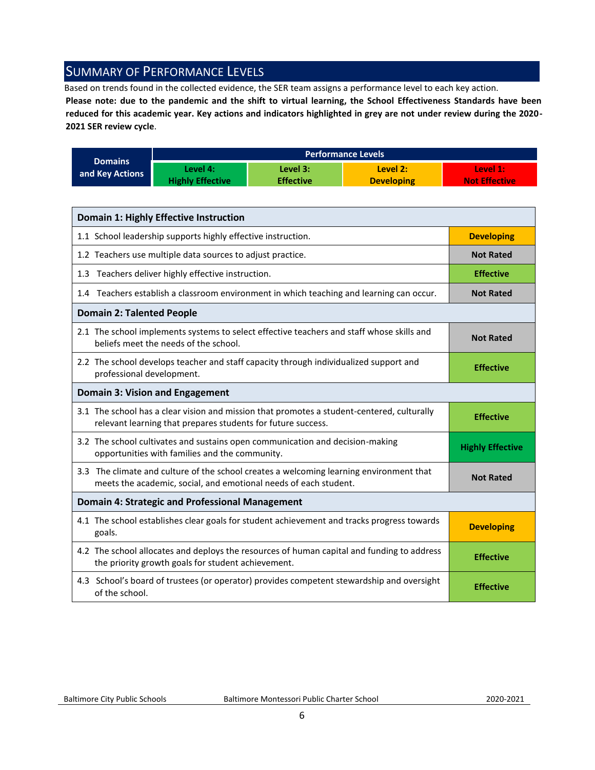## <span id="page-5-0"></span>SUMMARY OF PERFORMANCE LEVELS

Based on trends found in the collected evidence, the SER team assigns a performance level to each key action.

**Please note: due to the pandemic and the shift to virtual learning, the School Effectiveness Standards have been reduced for this academic year. Key actions and indicators highlighted in grey are not under review during the 2020- 2021 SER review cycle**.

|                 |                         |                  | <b>Performance Levels</b> |                      |
|-----------------|-------------------------|------------------|---------------------------|----------------------|
| <b>Domains</b>  | Level 4:                | Level 3:         | Level 2:                  | Level 1:             |
| and Key Actions | <b>Highly Effective</b> | <b>Effective</b> | <b>Developing</b>         | <b>Not Effective</b> |

| <b>Domain 1: Highly Effective Instruction</b>                                                                                                               |                         |  |  |  |
|-------------------------------------------------------------------------------------------------------------------------------------------------------------|-------------------------|--|--|--|
| 1.1 School leadership supports highly effective instruction.                                                                                                | <b>Developing</b>       |  |  |  |
| 1.2 Teachers use multiple data sources to adjust practice.                                                                                                  | <b>Not Rated</b>        |  |  |  |
| 1.3 Teachers deliver highly effective instruction.                                                                                                          | <b>Effective</b>        |  |  |  |
| 1.4 Teachers establish a classroom environment in which teaching and learning can occur.                                                                    | <b>Not Rated</b>        |  |  |  |
| <b>Domain 2: Talented People</b>                                                                                                                            |                         |  |  |  |
| 2.1 The school implements systems to select effective teachers and staff whose skills and<br>beliefs meet the needs of the school.                          | <b>Not Rated</b>        |  |  |  |
| 2.2 The school develops teacher and staff capacity through individualized support and<br>professional development.                                          | <b>Effective</b>        |  |  |  |
| Domain 3: Vision and Engagement                                                                                                                             |                         |  |  |  |
| 3.1 The school has a clear vision and mission that promotes a student-centered, culturally<br>relevant learning that prepares students for future success.  | <b>Effective</b>        |  |  |  |
| 3.2 The school cultivates and sustains open communication and decision-making<br>opportunities with families and the community.                             | <b>Highly Effective</b> |  |  |  |
| 3.3 The climate and culture of the school creates a welcoming learning environment that<br>meets the academic, social, and emotional needs of each student. | <b>Not Rated</b>        |  |  |  |
| <b>Domain 4: Strategic and Professional Management</b>                                                                                                      |                         |  |  |  |
| 4.1 The school establishes clear goals for student achievement and tracks progress towards<br>goals.                                                        | <b>Developing</b>       |  |  |  |
| 4.2 The school allocates and deploys the resources of human capital and funding to address<br>the priority growth goals for student achievement.            | <b>Effective</b>        |  |  |  |
| 4.3 School's board of trustees (or operator) provides competent stewardship and oversight<br>of the school.                                                 | <b>Effective</b>        |  |  |  |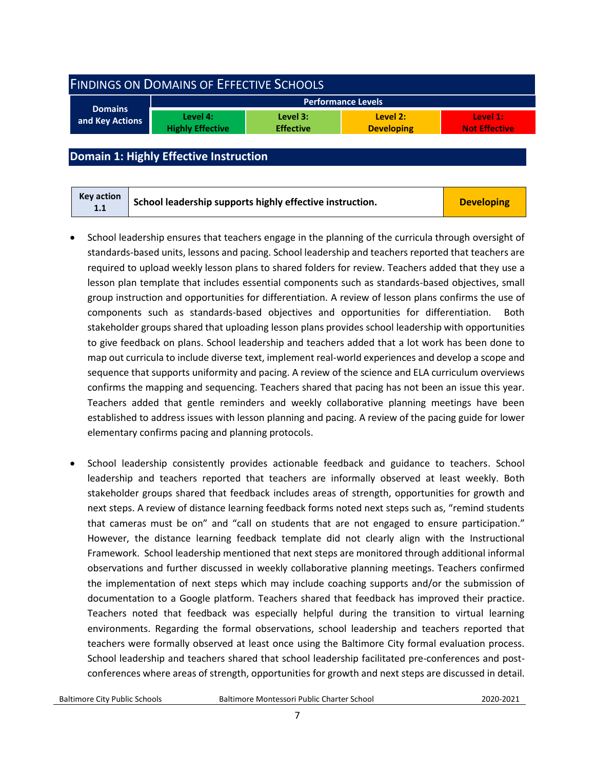<span id="page-6-0"></span>

| <b>FINDINGS ON DOMAINS OF EFFECTIVE SCHOOLS</b> |                                     |                              |                               |                                  |  |  |
|-------------------------------------------------|-------------------------------------|------------------------------|-------------------------------|----------------------------------|--|--|
| <b>Domains</b>                                  |                                     |                              | <b>Performance Levels</b>     |                                  |  |  |
| and Key Actions                                 | Level 4:<br><b>Highly Effective</b> | Level 3:<br><b>Effective</b> | Level 2:<br><b>Developing</b> | Level 1:<br><b>Not Effective</b> |  |  |
|                                                 |                                     |                              |                               |                                  |  |  |

### <span id="page-6-1"></span>**Domain 1: Highly Effective Instruction**

- School leadership ensures that teachers engage in the planning of the curricula through oversight of standards-based units, lessons and pacing. School leadership and teachers reported that teachers are required to upload weekly lesson plans to shared folders for review. Teachers added that they use a lesson plan template that includes essential components such as standards-based objectives, small group instruction and opportunities for differentiation. A review of lesson plans confirms the use of components such as standards-based objectives and opportunities for differentiation. Both stakeholder groups shared that uploading lesson plans provides school leadership with opportunities to give feedback on plans. School leadership and teachers added that a lot work has been done to map out curricula to include diverse text, implement real-world experiences and develop a scope and sequence that supports uniformity and pacing. A review of the science and ELA curriculum overviews confirms the mapping and sequencing. Teachers shared that pacing has not been an issue this year. Teachers added that gentle reminders and weekly collaborative planning meetings have been established to address issues with lesson planning and pacing. A review of the pacing guide for lower elementary confirms pacing and planning protocols.
- School leadership consistently provides actionable feedback and guidance to teachers. School leadership and teachers reported that teachers are informally observed at least weekly. Both stakeholder groups shared that feedback includes areas of strength, opportunities for growth and next steps. A review of distance learning feedback forms noted next steps such as, "remind students that cameras must be on" and "call on students that are not engaged to ensure participation." However, the distance learning feedback template did not clearly align with the Instructional Framework. School leadership mentioned that next steps are monitored through additional informal observations and further discussed in weekly collaborative planning meetings. Teachers confirmed the implementation of next steps which may include coaching supports and/or the submission of documentation to a Google platform. Teachers shared that feedback has improved their practice. Teachers noted that feedback was especially helpful during the transition to virtual learning environments. Regarding the formal observations, school leadership and teachers reported that teachers were formally observed at least once using the Baltimore City formal evaluation process. School leadership and teachers shared that school leadership facilitated pre-conferences and postconferences where areas of strength, opportunities for growth and next steps are discussed in detail.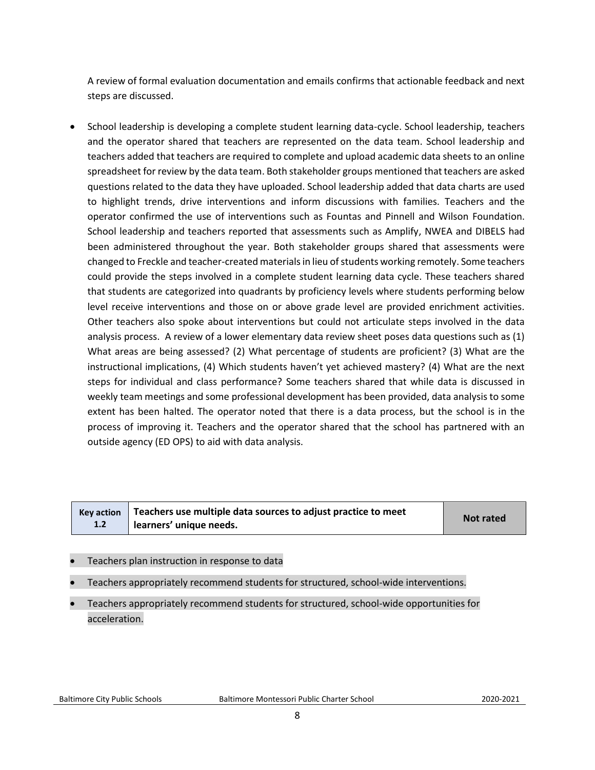A review of formal evaluation documentation and emails confirms that actionable feedback and next steps are discussed.

• School leadership is developing a complete student learning data-cycle. School leadership, teachers and the operator shared that teachers are represented on the data team. School leadership and teachers added that teachers are required to complete and upload academic data sheets to an online spreadsheet for review by the data team. Both stakeholder groups mentioned that teachers are asked questions related to the data they have uploaded. School leadership added that data charts are used to highlight trends, drive interventions and inform discussions with families. Teachers and the operator confirmed the use of interventions such as Fountas and Pinnell and Wilson Foundation. School leadership and teachers reported that assessments such as Amplify, NWEA and DIBELS had been administered throughout the year. Both stakeholder groups shared that assessments were changed to Freckle and teacher-created materials in lieu of students working remotely. Some teachers could provide the steps involved in a complete student learning data cycle. These teachers shared that students are categorized into quadrants by proficiency levels where students performing below level receive interventions and those on or above grade level are provided enrichment activities. Other teachers also spoke about interventions but could not articulate steps involved in the data analysis process. A review of a lower elementary data review sheet poses data questions such as (1) What areas are being assessed? (2) What percentage of students are proficient? (3) What are the instructional implications, (4) Which students haven't yet achieved mastery? (4) What are the next steps for individual and class performance? Some teachers shared that while data is discussed in weekly team meetings and some professional development has been provided, data analysis to some extent has been halted. The operator noted that there is a data process, but the school is in the process of improving it. Teachers and the operator shared that the school has partnered with an outside agency (ED OPS) to aid with data analysis.

| <b>Key action</b> | Teachers use multiple data sources to adjust practice to meet | <b>Not rated</b> |
|-------------------|---------------------------------------------------------------|------------------|
| 1.2               | learners' unique needs.                                       |                  |

- Teachers plan instruction in response to data
- Teachers appropriately recommend students for structured, school-wide interventions.
- Teachers appropriately recommend students for structured, school-wide opportunities for acceleration.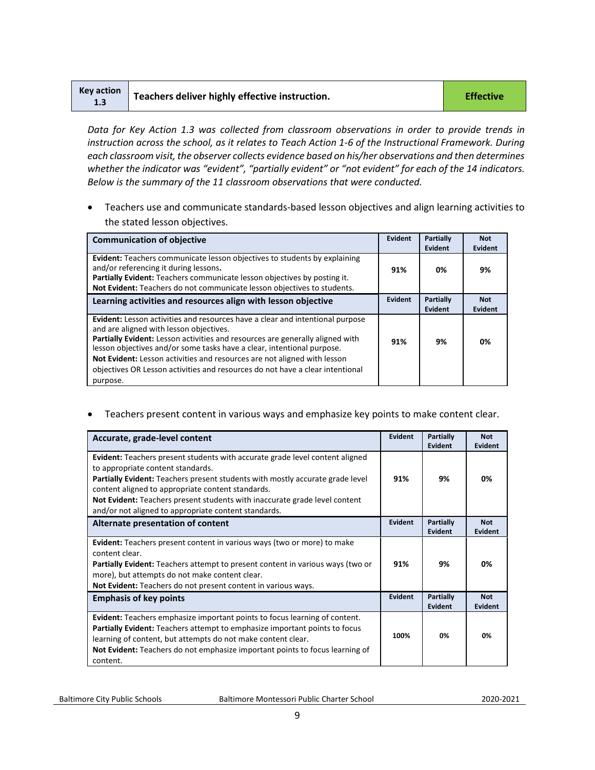| Key action<br>1.3 | Teachers deliver highly effective instruction. | <b>Effective</b> |
|-------------------|------------------------------------------------|------------------|
|-------------------|------------------------------------------------|------------------|

*Data for Key Action 1.3 was collected from classroom observations in order to provide trends in instruction across the school, as it relates to Teach Action 1-6 of the Instructional Framework. During each classroom visit, the observer collects evidence based on his/her observations and then determines*  whether the indicator was "evident", "partially evident" or "not evident" for each of the 14 indicators. *Below is the summary of the 11 classroom observations that were conducted.* 

• Teachers use and communicate standards-based lesson objectives and align learning activities to the stated lesson objectives.

| <b>Communication of objective</b>                                                                                                                                                                                                                                                                                                                                                                                                                            | Evident        | Partially<br><b>Evident</b> | <b>Not</b><br><b>Evident</b> |
|--------------------------------------------------------------------------------------------------------------------------------------------------------------------------------------------------------------------------------------------------------------------------------------------------------------------------------------------------------------------------------------------------------------------------------------------------------------|----------------|-----------------------------|------------------------------|
| <b>Evident:</b> Teachers communicate lesson objectives to students by explaining<br>and/or referencing it during lessons.<br>Partially Evident: Teachers communicate lesson objectives by posting it.<br>Not Evident: Teachers do not communicate lesson objectives to students.                                                                                                                                                                             | 91%            | 0%                          | 9%                           |
| Learning activities and resources align with lesson objective                                                                                                                                                                                                                                                                                                                                                                                                | <b>Evident</b> | Partially<br><b>Evident</b> | <b>Not</b><br>Evident        |
| Evident: Lesson activities and resources have a clear and intentional purpose<br>and are aligned with lesson objectives.<br>Partially Evident: Lesson activities and resources are generally aligned with<br>lesson objectives and/or some tasks have a clear, intentional purpose.<br>Not Evident: Lesson activities and resources are not aligned with lesson<br>objectives OR Lesson activities and resources do not have a clear intentional<br>purpose. | 91%            | 9%                          | 0%                           |

• Teachers present content in various ways and emphasize key points to make content clear.

| Accurate, grade-level content                                                                                                                                                                                                                                                                                                                                                                               | Evident | Partially<br><b>Evident</b> | <b>Not</b><br>Evident |
|-------------------------------------------------------------------------------------------------------------------------------------------------------------------------------------------------------------------------------------------------------------------------------------------------------------------------------------------------------------------------------------------------------------|---------|-----------------------------|-----------------------|
| <b>Evident:</b> Teachers present students with accurate grade level content aligned<br>to appropriate content standards.<br>Partially Evident: Teachers present students with mostly accurate grade level<br>content aligned to appropriate content standards.<br><b>Not Evident:</b> Teachers present students with inaccurate grade level content<br>and/or not aligned to appropriate content standards. | 91%     | 9%                          | 0%                    |
| Alternate presentation of content                                                                                                                                                                                                                                                                                                                                                                           | Evident | <b>Partially</b><br>Evident | <b>Not</b><br>Evident |
| <b>Evident:</b> Teachers present content in various ways (two or more) to make<br>content clear.<br><b>Partially Evident:</b> Teachers attempt to present content in various ways (two or<br>more), but attempts do not make content clear.<br>Not Evident: Teachers do not present content in various ways.                                                                                                | 91%     | 9%                          | 0%                    |
| <b>Emphasis of key points</b>                                                                                                                                                                                                                                                                                                                                                                               | Evident | <b>Partially</b><br>Evident | <b>Not</b><br>Evident |
| <b>Evident:</b> Teachers emphasize important points to focus learning of content.<br><b>Partially Evident:</b> Teachers attempt to emphasize important points to focus<br>learning of content, but attempts do not make content clear.<br>Not Evident: Teachers do not emphasize important points to focus learning of<br>content.                                                                          | 100%    | 0%                          | 0%                    |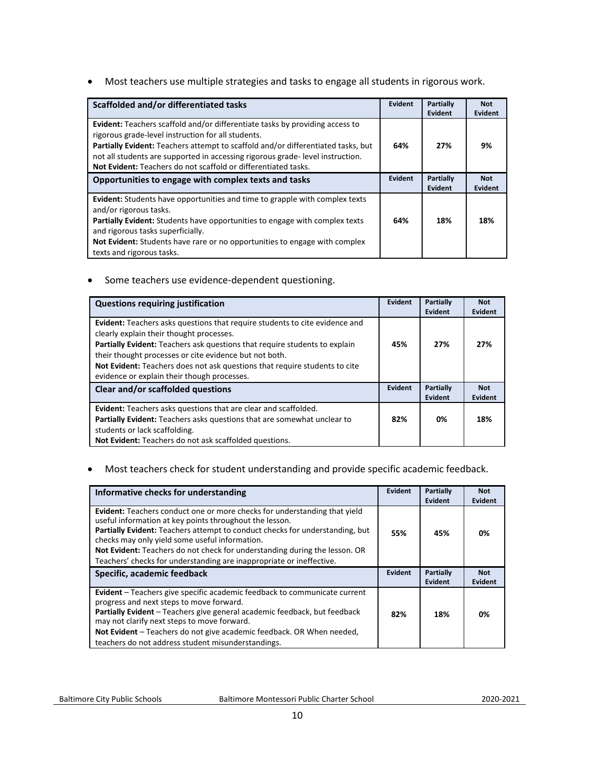• Most teachers use multiple strategies and tasks to engage all students in rigorous work.

| Scaffolded and/or differentiated tasks                                                                                                                                                                                                                                                                                                                                                  | Evident        | <b>Partially</b><br>Evident | <b>Not</b><br><b>Evident</b> |
|-----------------------------------------------------------------------------------------------------------------------------------------------------------------------------------------------------------------------------------------------------------------------------------------------------------------------------------------------------------------------------------------|----------------|-----------------------------|------------------------------|
| <b>Evident:</b> Teachers scaffold and/or differentiate tasks by providing access to<br>rigorous grade-level instruction for all students.<br>Partially Evident: Teachers attempt to scaffold and/or differentiated tasks, but<br>not all students are supported in accessing rigorous grade-level instruction.<br><b>Not Evident:</b> Teachers do not scaffold or differentiated tasks. | 64%            | 27%                         | 9%                           |
| Opportunities to engage with complex texts and tasks                                                                                                                                                                                                                                                                                                                                    | <b>Evident</b> | Partially<br>Evident        | <b>Not</b><br>Evident        |
| <b>Evident:</b> Students have opportunities and time to grapple with complex texts<br>and/or rigorous tasks.<br><b>Partially Evident:</b> Students have opportunities to engage with complex texts<br>and rigorous tasks superficially.<br><b>Not Evident:</b> Students have rare or no opportunities to engage with complex<br>texts and rigorous tasks.                               | 64%            | 18%                         | 18%                          |

• Some teachers use evidence-dependent questioning.

| <b>Questions requiring justification</b>                                                                                                                                                                                                                                                                                                                                                            | Evident | Partially<br>Evident | <b>Not</b><br><b>Evident</b> |
|-----------------------------------------------------------------------------------------------------------------------------------------------------------------------------------------------------------------------------------------------------------------------------------------------------------------------------------------------------------------------------------------------------|---------|----------------------|------------------------------|
| <b>Evident:</b> Teachers asks questions that require students to cite evidence and<br>clearly explain their thought processes.<br>Partially Evident: Teachers ask questions that require students to explain<br>their thought processes or cite evidence but not both.<br>Not Evident: Teachers does not ask questions that require students to cite<br>evidence or explain their though processes. | 45%     | 27%                  | 27%                          |
| Clear and/or scaffolded questions                                                                                                                                                                                                                                                                                                                                                                   |         | Partially<br>Evident | <b>Not</b><br>Evident        |
| <b>Evident:</b> Teachers asks questions that are clear and scaffolded.<br>Partially Evident: Teachers asks questions that are somewhat unclear to<br>students or lack scaffolding.<br>Not Evident: Teachers do not ask scaffolded questions.                                                                                                                                                        | 82%     | 0%                   | 18%                          |

#### • Most teachers check for student understanding and provide specific academic feedback.

| Informative checks for understanding                                                                                                                                                                                                                                                                                                                                                                                                | Evident | Partially            | <b>Not</b>            |
|-------------------------------------------------------------------------------------------------------------------------------------------------------------------------------------------------------------------------------------------------------------------------------------------------------------------------------------------------------------------------------------------------------------------------------------|---------|----------------------|-----------------------|
|                                                                                                                                                                                                                                                                                                                                                                                                                                     |         | Evident              | Evident               |
| <b>Evident:</b> Teachers conduct one or more checks for understanding that yield<br>useful information at key points throughout the lesson.<br>Partially Evident: Teachers attempt to conduct checks for understanding, but<br>checks may only yield some useful information.<br>Not Evident: Teachers do not check for understanding during the lesson. OR<br>Teachers' checks for understanding are inappropriate or ineffective. | 55%     | 45%                  | 0%                    |
| Specific, academic feedback                                                                                                                                                                                                                                                                                                                                                                                                         |         | Partially<br>Evident | <b>Not</b><br>Evident |
|                                                                                                                                                                                                                                                                                                                                                                                                                                     |         |                      |                       |
| Evident - Teachers give specific academic feedback to communicate current<br>progress and next steps to move forward.<br>Partially Evident – Teachers give general academic feedback, but feedback<br>may not clarify next steps to move forward.<br>Not Evident - Teachers do not give academic feedback. OR When needed,                                                                                                          | 82%     | 18%                  | 0%                    |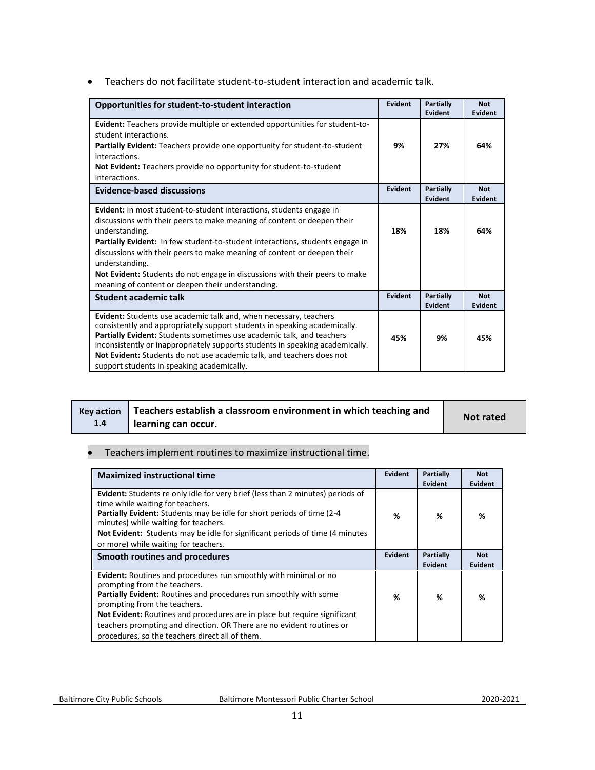• Teachers do not facilitate student-to-student interaction and academic talk.

| Opportunities for student-to-student interaction                                                                                                                                                                                                                                                                                                                                                                                                                                           | Evident        | Partially<br>Evident        | <b>Not</b><br><b>Evident</b> |
|--------------------------------------------------------------------------------------------------------------------------------------------------------------------------------------------------------------------------------------------------------------------------------------------------------------------------------------------------------------------------------------------------------------------------------------------------------------------------------------------|----------------|-----------------------------|------------------------------|
| Evident: Teachers provide multiple or extended opportunities for student-to-<br>student interactions.<br>Partially Evident: Teachers provide one opportunity for student-to-student<br>interactions.<br><b>Not Evident:</b> Teachers provide no opportunity for student-to-student<br>interactions.                                                                                                                                                                                        | 9%             | 27%                         | 64%                          |
| <b>Evidence-based discussions</b>                                                                                                                                                                                                                                                                                                                                                                                                                                                          | <b>Evident</b> | <b>Partially</b><br>Evident | <b>Not</b><br><b>Evident</b> |
| <b>Evident:</b> In most student-to-student interactions, students engage in<br>discussions with their peers to make meaning of content or deepen their<br>understanding.<br>Partially Evident: In few student-to-student interactions, students engage in<br>discussions with their peers to make meaning of content or deepen their<br>understanding.<br>Not Evident: Students do not engage in discussions with their peers to make<br>meaning of content or deepen their understanding. | 18%            | 18%                         | 64%                          |
| <b>Student academic talk</b>                                                                                                                                                                                                                                                                                                                                                                                                                                                               | Evident        | Partially<br>Evident        | <b>Not</b><br><b>Evident</b> |
| Evident: Students use academic talk and, when necessary, teachers<br>consistently and appropriately support students in speaking academically.<br>Partially Evident: Students sometimes use academic talk, and teachers<br>inconsistently or inappropriately supports students in speaking academically.<br>Not Evident: Students do not use academic talk, and teachers does not<br>support students in speaking academically.                                                            | 45%            | 9%                          | 45%                          |

|     | Key action   Teachers establish a classroom environment in which teaching and |           |
|-----|-------------------------------------------------------------------------------|-----------|
| 1.4 | learning can occur.                                                           | Not rated |

#### • Teachers implement routines to maximize instructional time.

| <b>Maximized instructional time</b>                                                                                                                                                                                                                                                                                                                                                                                   | Evident        | Partially<br>Evident | <b>Not</b><br>Evident        |
|-----------------------------------------------------------------------------------------------------------------------------------------------------------------------------------------------------------------------------------------------------------------------------------------------------------------------------------------------------------------------------------------------------------------------|----------------|----------------------|------------------------------|
| Evident: Students re only idle for very brief (less than 2 minutes) periods of<br>time while waiting for teachers.<br><b>Partially Evident:</b> Students may be idle for short periods of time (2-4)<br>minutes) while waiting for teachers.<br>Not Evident: Students may be idle for significant periods of time (4 minutes)<br>or more) while waiting for teachers.                                                 | ℅              | %                    | ℅                            |
| Smooth routines and procedures                                                                                                                                                                                                                                                                                                                                                                                        | <b>Evident</b> | Partially<br>Evident | <b>Not</b><br><b>Evident</b> |
| Evident: Routines and procedures run smoothly with minimal or no<br>prompting from the teachers.<br>Partially Evident: Routines and procedures run smoothly with some<br>prompting from the teachers.<br><b>Not Evident:</b> Routines and procedures are in place but require significant<br>teachers prompting and direction. OR There are no evident routines or<br>procedures, so the teachers direct all of them. | ℅              | ℅                    | ℅                            |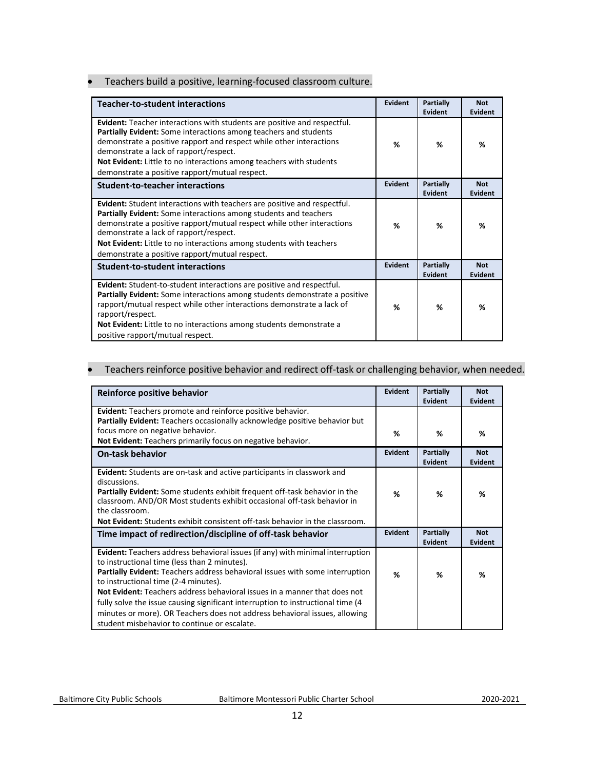#### • Teachers build a positive, learning-focused classroom culture.

| <b>Teacher-to-student interactions</b>                                                                                                                                                                                                                                                                                                                                                    | Evident        | Partially<br>Evident | <b>Not</b><br>Evident |
|-------------------------------------------------------------------------------------------------------------------------------------------------------------------------------------------------------------------------------------------------------------------------------------------------------------------------------------------------------------------------------------------|----------------|----------------------|-----------------------|
| Evident: Teacher interactions with students are positive and respectful.<br>Partially Evident: Some interactions among teachers and students<br>demonstrate a positive rapport and respect while other interactions<br>demonstrate a lack of rapport/respect.<br>Not Evident: Little to no interactions among teachers with students<br>demonstrate a positive rapport/mutual respect.    | %              | %                    | %                     |
| <b>Student-to-teacher interactions</b>                                                                                                                                                                                                                                                                                                                                                    | <b>Evident</b> | Partially<br>Evident | <b>Not</b><br>Evident |
| Evident: Student interactions with teachers are positive and respectful.<br>Partially Evident: Some interactions among students and teachers<br>demonstrate a positive rapport/mutual respect while other interactions<br>demonstrate a lack of rapport/respect.<br>Not Evident: Little to no interactions among students with teachers<br>demonstrate a positive rapport/mutual respect. | %              | %                    | %                     |
| <b>Student-to-student interactions</b>                                                                                                                                                                                                                                                                                                                                                    | Evident        | Partially<br>Evident | <b>Not</b><br>Evident |
| Evident: Student-to-student interactions are positive and respectful.<br><b>Partially Evident:</b> Some interactions among students demonstrate a positive<br>rapport/mutual respect while other interactions demonstrate a lack of<br>rapport/respect.<br>Not Evident: Little to no interactions among students demonstrate a<br>positive rapport/mutual respect.                        | %              | %                    | %                     |

#### • Teachers reinforce positive behavior and redirect off-task or challenging behavior, when needed.

<span id="page-11-0"></span>

| Reinforce positive behavior                                                                                                                                                                                                                                                                                                                                                                                                                                                                                                                                  | Evident | Partially<br>Evident               | <b>Not</b><br>Evident |
|--------------------------------------------------------------------------------------------------------------------------------------------------------------------------------------------------------------------------------------------------------------------------------------------------------------------------------------------------------------------------------------------------------------------------------------------------------------------------------------------------------------------------------------------------------------|---------|------------------------------------|-----------------------|
| Evident: Teachers promote and reinforce positive behavior.<br>Partially Evident: Teachers occasionally acknowledge positive behavior but                                                                                                                                                                                                                                                                                                                                                                                                                     |         |                                    |                       |
| focus more on negative behavior.<br>Not Evident: Teachers primarily focus on negative behavior.                                                                                                                                                                                                                                                                                                                                                                                                                                                              | %       | %                                  | ℅                     |
| <b>On-task behavior</b>                                                                                                                                                                                                                                                                                                                                                                                                                                                                                                                                      | Evident | <b>Partially</b><br><b>Evident</b> | <b>Not</b><br>Evident |
| Evident: Students are on-task and active participants in classwork and<br>discussions.<br><b>Partially Evident:</b> Some students exhibit frequent off-task behavior in the<br>classroom. AND/OR Most students exhibit occasional off-task behavior in                                                                                                                                                                                                                                                                                                       | %       | %                                  | ℅                     |
| the classroom.<br><b>Not Evident:</b> Students exhibit consistent off-task behavior in the classroom.                                                                                                                                                                                                                                                                                                                                                                                                                                                        |         |                                    |                       |
| Time impact of redirection/discipline of off-task behavior                                                                                                                                                                                                                                                                                                                                                                                                                                                                                                   | Evident | Partially<br>Evident               | <b>Not</b><br>Evident |
| Evident: Teachers address behavioral issues (if any) with minimal interruption<br>to instructional time (less than 2 minutes).<br>Partially Evident: Teachers address behavioral issues with some interruption<br>to instructional time (2-4 minutes).<br><b>Not Evident:</b> Teachers address behavioral issues in a manner that does not<br>fully solve the issue causing significant interruption to instructional time (4)<br>minutes or more). OR Teachers does not address behavioral issues, allowing<br>student misbehavior to continue or escalate. | %       | %                                  | %                     |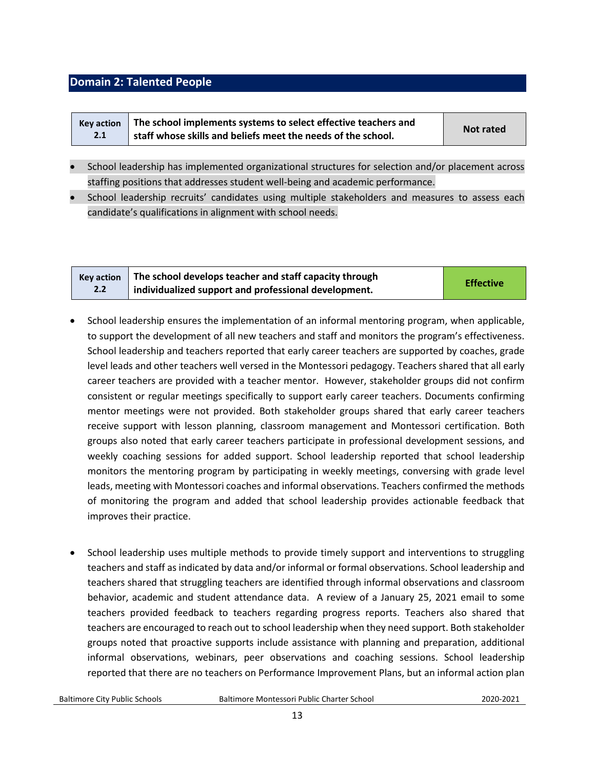#### **Domain 2: Talented People**

| <b>Kev action</b> | The school implements systems to select effective teachers and | Not rated |
|-------------------|----------------------------------------------------------------|-----------|
| 2.1               | staff whose skills and beliefs meet the needs of the school.   |           |

- School leadership has implemented organizational structures for selection and/or placement across staffing positions that addresses student well-being and academic performance.
- School leadership recruits' candidates using multiple stakeholders and measures to assess each candidate's qualifications in alignment with school needs.

|     | Key action $\parallel$ The school develops teacher and staff capacity through | <b>Effective</b> |
|-----|-------------------------------------------------------------------------------|------------------|
| 2.2 | individualized support and professional development.                          |                  |

- School leadership ensures the implementation of an informal mentoring program, when applicable, to support the development of all new teachers and staff and monitors the program's effectiveness. School leadership and teachers reported that early career teachers are supported by coaches, grade level leads and other teachers well versed in the Montessori pedagogy. Teachers shared that all early career teachers are provided with a teacher mentor. However, stakeholder groups did not confirm consistent or regular meetings specifically to support early career teachers. Documents confirming mentor meetings were not provided. Both stakeholder groups shared that early career teachers receive support with lesson planning, classroom management and Montessori certification. Both groups also noted that early career teachers participate in professional development sessions, and weekly coaching sessions for added support. School leadership reported that school leadership monitors the mentoring program by participating in weekly meetings, conversing with grade level leads, meeting with Montessori coaches and informal observations. Teachers confirmed the methods of monitoring the program and added that school leadership provides actionable feedback that improves their practice.
- School leadership uses multiple methods to provide timely support and interventions to struggling teachers and staff as indicated by data and/or informal or formal observations. School leadership and teachers shared that struggling teachers are identified through informal observations and classroom behavior, academic and student attendance data. A review of a January 25, 2021 email to some teachers provided feedback to teachers regarding progress reports. Teachers also shared that teachers are encouraged to reach out to school leadership when they need support. Both stakeholder groups noted that proactive supports include assistance with planning and preparation, additional informal observations, webinars, peer observations and coaching sessions. School leadership reported that there are no teachers on Performance Improvement Plans, but an informal action plan

Baltimore City Public Schools Baltimore Montessori Public Charter School2020-2021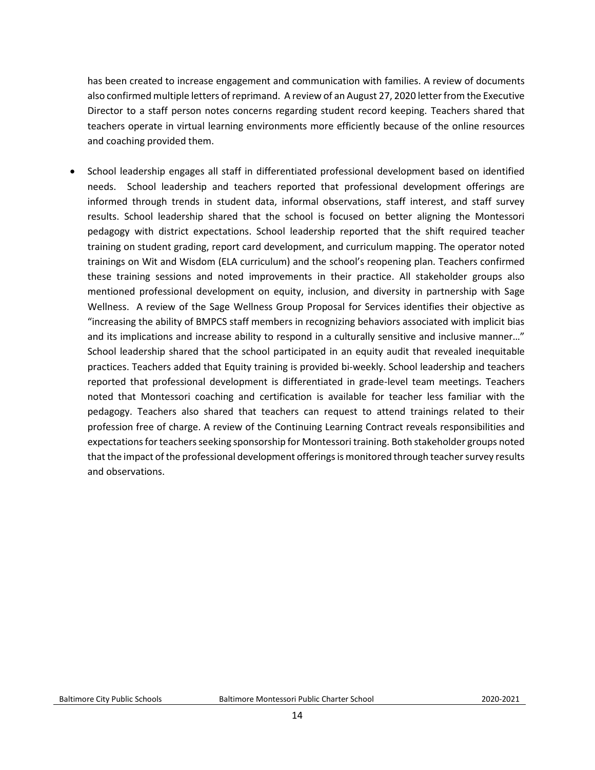has been created to increase engagement and communication with families. A review of documents also confirmed multiple letters of reprimand. A review of an August 27, 2020 letter from the Executive Director to a staff person notes concerns regarding student record keeping. Teachers shared that teachers operate in virtual learning environments more efficiently because of the online resources and coaching provided them.

• School leadership engages all staff in differentiated professional development based on identified needs. School leadership and teachers reported that professional development offerings are informed through trends in student data, informal observations, staff interest, and staff survey results. School leadership shared that the school is focused on better aligning the Montessori pedagogy with district expectations. School leadership reported that the shift required teacher training on student grading, report card development, and curriculum mapping. The operator noted trainings on Wit and Wisdom (ELA curriculum) and the school's reopening plan. Teachers confirmed these training sessions and noted improvements in their practice. All stakeholder groups also mentioned professional development on equity, inclusion, and diversity in partnership with Sage Wellness. A review of the Sage Wellness Group Proposal for Services identifies their objective as "increasing the ability of BMPCS staff members in recognizing behaviors associated with implicit bias and its implications and increase ability to respond in a culturally sensitive and inclusive manner…" School leadership shared that the school participated in an equity audit that revealed inequitable practices. Teachers added that Equity training is provided bi-weekly. School leadership and teachers reported that professional development is differentiated in grade-level team meetings. Teachers noted that Montessori coaching and certification is available for teacher less familiar with the pedagogy. Teachers also shared that teachers can request to attend trainings related to their profession free of charge. A review of the Continuing Learning Contract reveals responsibilities and expectations for teachers seeking sponsorship for Montessori training. Both stakeholder groups noted that the impact of the professional development offerings is monitored through teacher survey results and observations.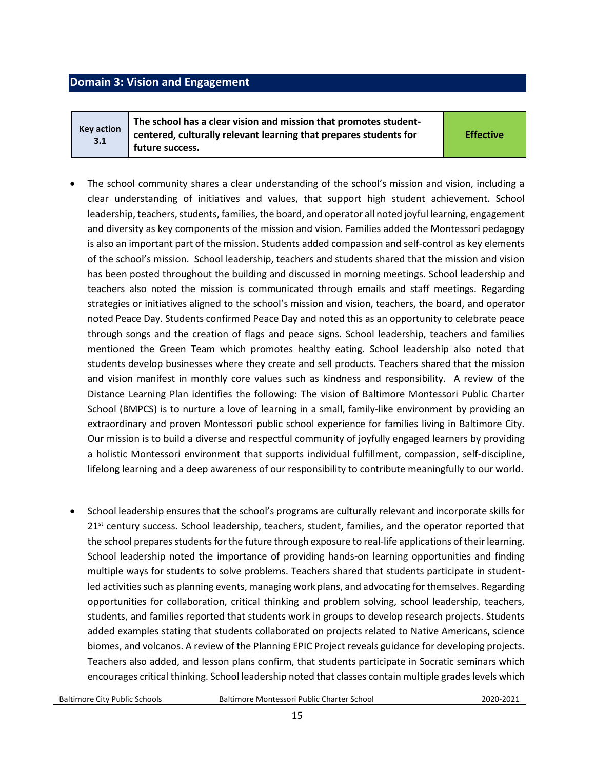#### <span id="page-14-0"></span>**Domain 3: Vision and Engagement**

**Key action 3.1**

**The school has a clear vision and mission that promotes studentcentered, culturally relevant learning that prepares students for future success.** 

**Effective**

- The school community shares a clear understanding of the school's mission and vision, including a clear understanding of initiatives and values, that support high student achievement. School leadership, teachers, students, families, the board, and operator all noted joyful learning, engagement and diversity as key components of the mission and vision. Families added the Montessori pedagogy is also an important part of the mission. Students added compassion and self-control as key elements of the school's mission. School leadership, teachers and students shared that the mission and vision has been posted throughout the building and discussed in morning meetings. School leadership and teachers also noted the mission is communicated through emails and staff meetings. Regarding strategies or initiatives aligned to the school's mission and vision, teachers, the board, and operator noted Peace Day. Students confirmed Peace Day and noted this as an opportunity to celebrate peace through songs and the creation of flags and peace signs. School leadership, teachers and families mentioned the Green Team which promotes healthy eating. School leadership also noted that students develop businesses where they create and sell products. Teachers shared that the mission and vision manifest in monthly core values such as kindness and responsibility. A review of the Distance Learning Plan identifies the following: The vision of Baltimore Montessori Public Charter School (BMPCS) is to nurture a love of learning in a small, family-like environment by providing an extraordinary and proven Montessori public school experience for families living in Baltimore City. Our mission is to build a diverse and respectful community of joyfully engaged learners by providing a holistic Montessori environment that supports individual fulfillment, compassion, self-discipline, lifelong learning and a deep awareness of our responsibility to contribute meaningfully to our world.
- School leadership ensures that the school's programs are culturally relevant and incorporate skills for  $21<sup>st</sup>$  century success. School leadership, teachers, student, families, and the operator reported that the school prepares students for the future through exposure to real-life applications of their learning. School leadership noted the importance of providing hands-on learning opportunities and finding multiple ways for students to solve problems. Teachers shared that students participate in studentled activities such as planning events, managing work plans, and advocating for themselves. Regarding opportunities for collaboration, critical thinking and problem solving, school leadership, teachers, students, and families reported that students work in groups to develop research projects. Students added examples stating that students collaborated on projects related to Native Americans, science biomes, and volcanos. A review of the Planning EPIC Project reveals guidance for developing projects. Teachers also added, and lesson plans confirm, that students participate in Socratic seminars which encourages critical thinking. School leadership noted that classes contain multiple grades levels which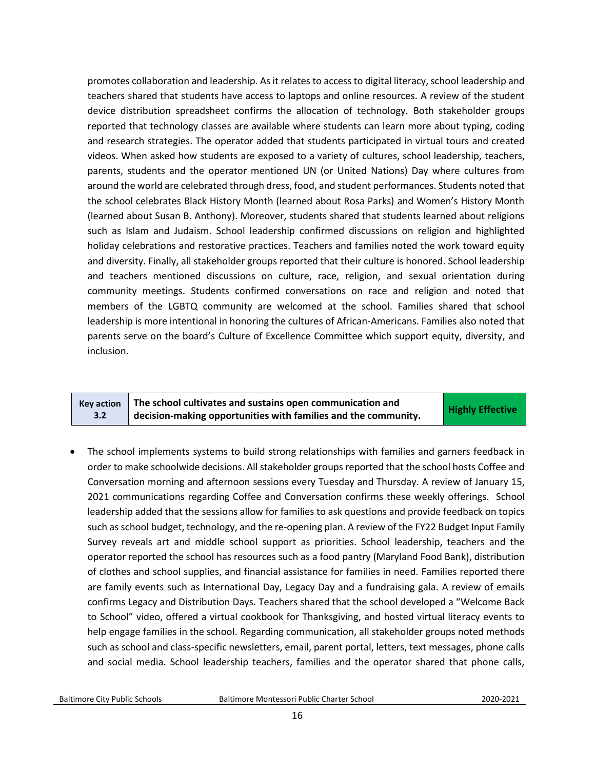promotes collaboration and leadership. As it relates to access to digital literacy, school leadership and teachers shared that students have access to laptops and online resources. A review of the student device distribution spreadsheet confirms the allocation of technology. Both stakeholder groups reported that technology classes are available where students can learn more about typing, coding and research strategies. The operator added that students participated in virtual tours and created videos. When asked how students are exposed to a variety of cultures, school leadership, teachers, parents, students and the operator mentioned UN (or United Nations) Day where cultures from around the world are celebrated through dress, food, and student performances. Students noted that the school celebrates Black History Month (learned about Rosa Parks) and Women's History Month (learned about Susan B. Anthony). Moreover, students shared that students learned about religions such as Islam and Judaism. School leadership confirmed discussions on religion and highlighted holiday celebrations and restorative practices. Teachers and families noted the work toward equity and diversity. Finally, all stakeholder groups reported that their culture is honored. School leadership and teachers mentioned discussions on culture, race, religion, and sexual orientation during community meetings. Students confirmed conversations on race and religion and noted that members of the LGBTQ community are welcomed at the school. Families shared that school leadership is more intentional in honoring the cultures of African-Americans. Families also noted that parents serve on the board's Culture of Excellence Committee which support equity, diversity, and inclusion.

|     | $\kappa$ Key action $\ \tau\ $ The school cultivates and sustains open communication and | <b>Highly Effective</b> |
|-----|------------------------------------------------------------------------------------------|-------------------------|
| 3.2 | $\frac{1}{2}$ decision-making opportunities with families and the community.             |                         |

• The school implements systems to build strong relationships with families and garners feedback in order to make schoolwide decisions. All stakeholder groups reported that the school hosts Coffee and Conversation morning and afternoon sessions every Tuesday and Thursday. A review of January 15, 2021 communications regarding Coffee and Conversation confirms these weekly offerings. School leadership added that the sessions allow for families to ask questions and provide feedback on topics such as school budget, technology, and the re-opening plan. A review of the FY22 Budget Input Family Survey reveals art and middle school support as priorities. School leadership, teachers and the operator reported the school has resources such as a food pantry (Maryland Food Bank), distribution of clothes and school supplies, and financial assistance for families in need. Families reported there are family events such as International Day, Legacy Day and a fundraising gala. A review of emails confirms Legacy and Distribution Days. Teachers shared that the school developed a "Welcome Back to School" video, offered a virtual cookbook for Thanksgiving, and hosted virtual literacy events to help engage families in the school. Regarding communication, all stakeholder groups noted methods such as school and class-specific newsletters, email, parent portal, letters, text messages, phone calls and social media. School leadership teachers, families and the operator shared that phone calls,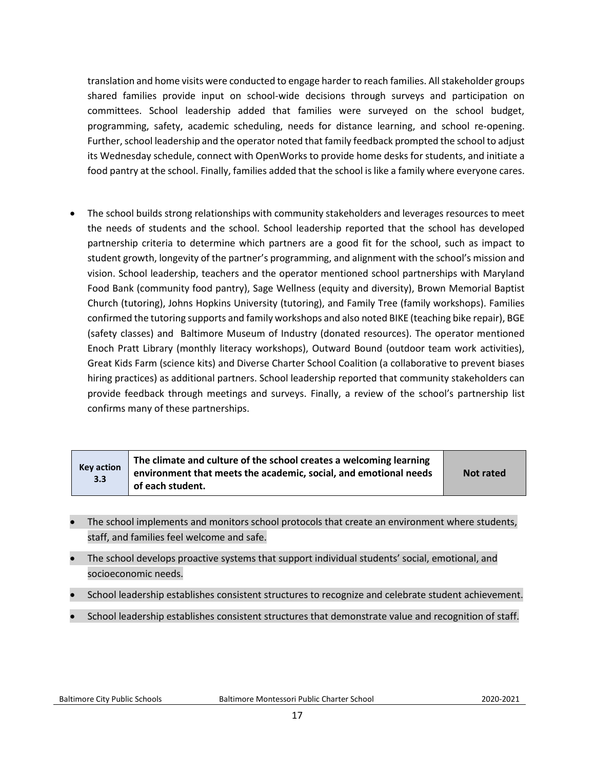translation and home visits were conducted to engage harder to reach families. All stakeholder groups shared families provide input on school-wide decisions through surveys and participation on committees. School leadership added that families were surveyed on the school budget, programming, safety, academic scheduling, needs for distance learning, and school re-opening. Further, school leadership and the operator noted that family feedback prompted the school to adjust its Wednesday schedule, connect with OpenWorks to provide home desks for students, and initiate a food pantry at the school. Finally, families added that the school is like a family where everyone cares.

• The school builds strong relationships with community stakeholders and leverages resources to meet the needs of students and the school. School leadership reported that the school has developed partnership criteria to determine which partners are a good fit for the school, such as impact to student growth, longevity of the partner's programming, and alignment with the school's mission and vision. School leadership, teachers and the operator mentioned school partnerships with Maryland Food Bank (community food pantry), Sage Wellness (equity and diversity), Brown Memorial Baptist Church (tutoring), Johns Hopkins University (tutoring), and Family Tree (family workshops). Families confirmed the tutoring supports and family workshops and also noted BIKE (teaching bike repair), BGE (safety classes) and Baltimore Museum of Industry (donated resources). The operator mentioned Enoch Pratt Library (monthly literacy workshops), Outward Bound (outdoor team work activities), Great Kids Farm (science kits) and Diverse Charter School Coalition (a collaborative to prevent biases hiring practices) as additional partners. School leadership reported that community stakeholders can provide feedback through meetings and surveys. Finally, a review of the school's partnership list confirms many of these partnerships.

| Key action<br>3.3 | The climate and culture of the school creates a welcoming learning<br>environment that meets the academic, social, and emotional needs<br>of each student. | <b>Not rated</b> |
|-------------------|------------------------------------------------------------------------------------------------------------------------------------------------------------|------------------|
|-------------------|------------------------------------------------------------------------------------------------------------------------------------------------------------|------------------|

- The school implements and monitors school protocols that create an environment where students, staff, and families feel welcome and safe.
- The school develops proactive systems that support individual students' social, emotional, and socioeconomic needs.
- School leadership establishes consistent structures to recognize and celebrate student achievement.
- School leadership establishes consistent structures that demonstrate value and recognition of staff.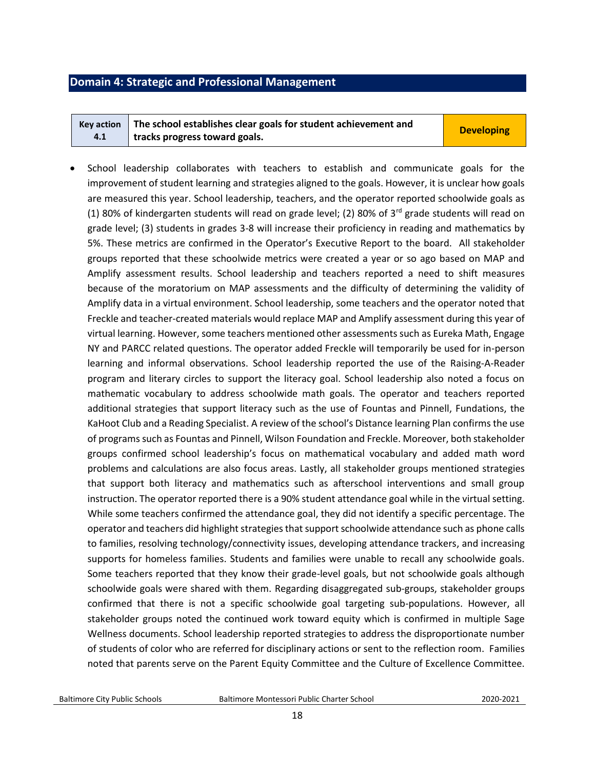## <span id="page-17-0"></span>**Domain 4: Strategic and Professional Management**

|     | Key action $\parallel$ The school establishes clear goals for student achievement and | <b>Developing</b> |
|-----|---------------------------------------------------------------------------------------|-------------------|
| 4.1 | tracks progress toward goals.                                                         |                   |

• School leadership collaborates with teachers to establish and communicate goals for the improvement of student learning and strategies aligned to the goals. However, it is unclear how goals are measured this year. School leadership, teachers, and the operator reported schoolwide goals as (1) 80% of kindergarten students will read on grade level; (2) 80% of 3<sup>rd</sup> grade students will read on grade level; (3) students in grades 3-8 will increase their proficiency in reading and mathematics by 5%. These metrics are confirmed in the Operator's Executive Report to the board. All stakeholder groups reported that these schoolwide metrics were created a year or so ago based on MAP and Amplify assessment results. School leadership and teachers reported a need to shift measures because of the moratorium on MAP assessments and the difficulty of determining the validity of Amplify data in a virtual environment. School leadership, some teachers and the operator noted that Freckle and teacher-created materials would replace MAP and Amplify assessment during this year of virtual learning. However, some teachers mentioned other assessments such as Eureka Math, Engage NY and PARCC related questions. The operator added Freckle will temporarily be used for in-person learning and informal observations. School leadership reported the use of the Raising-A-Reader program and literary circles to support the literacy goal. School leadership also noted a focus on mathematic vocabulary to address schoolwide math goals. The operator and teachers reported additional strategies that support literacy such as the use of Fountas and Pinnell, Fundations, the KaHoot Club and a Reading Specialist. A review of the school's Distance learning Plan confirms the use of programs such as Fountas and Pinnell, Wilson Foundation and Freckle. Moreover, both stakeholder groups confirmed school leadership's focus on mathematical vocabulary and added math word problems and calculations are also focus areas. Lastly, all stakeholder groups mentioned strategies that support both literacy and mathematics such as afterschool interventions and small group instruction. The operator reported there is a 90% student attendance goal while in the virtual setting. While some teachers confirmed the attendance goal, they did not identify a specific percentage. The operator and teachers did highlight strategies that support schoolwide attendance such as phone calls to families, resolving technology/connectivity issues, developing attendance trackers, and increasing supports for homeless families. Students and families were unable to recall any schoolwide goals. Some teachers reported that they know their grade-level goals, but not schoolwide goals although schoolwide goals were shared with them. Regarding disaggregated sub-groups, stakeholder groups confirmed that there is not a specific schoolwide goal targeting sub-populations. However, all stakeholder groups noted the continued work toward equity which is confirmed in multiple Sage Wellness documents. School leadership reported strategies to address the disproportionate number of students of color who are referred for disciplinary actions or sent to the reflection room. Families noted that parents serve on the Parent Equity Committee and the Culture of Excellence Committee.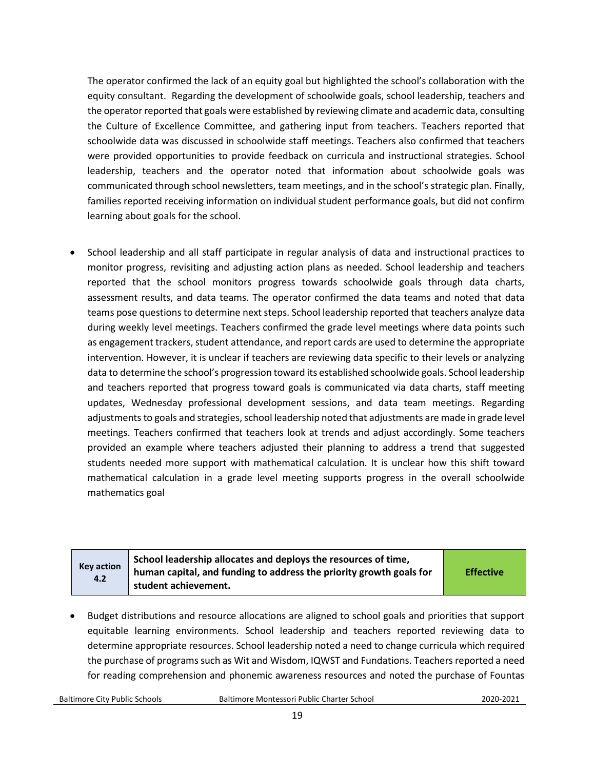The operator confirmed the lack of an equity goal but highlighted the school's collaboration with the equity consultant. Regarding the development of schoolwide goals, school leadership, teachers and the operator reported that goals were established by reviewing climate and academic data, consulting the Culture of Excellence Committee, and gathering input from teachers. Teachers reported that schoolwide data was discussed in schoolwide staff meetings. Teachers also confirmed that teachers were provided opportunities to provide feedback on curricula and instructional strategies. School leadership, teachers and the operator noted that information about schoolwide goals was communicated through school newsletters, team meetings, and in the school's strategic plan. Finally, families reported receiving information on individual student performance goals, but did not confirm learning about goals for the school.

• School leadership and all staff participate in regular analysis of data and instructional practices to monitor progress, revisiting and adjusting action plans as needed. School leadership and teachers reported that the school monitors progress towards schoolwide goals through data charts, assessment results, and data teams. The operator confirmed the data teams and noted that data teams pose questions to determine next steps. School leadership reported that teachers analyze data during weekly level meetings. Teachers confirmed the grade level meetings where data points such as engagement trackers, student attendance, and report cards are used to determine the appropriate intervention. However, it is unclear if teachers are reviewing data specific to their levels or analyzing data to determine the school's progression toward its established schoolwide goals. School leadership and teachers reported that progress toward goals is communicated via data charts, staff meeting updates, Wednesday professional development sessions, and data team meetings. Regarding adjustments to goals and strategies, school leadership noted that adjustments are made in grade level meetings. Teachers confirmed that teachers look at trends and adjust accordingly. Some teachers provided an example where teachers adjusted their planning to address a trend that suggested students needed more support with mathematical calculation. It is unclear how this shift toward mathematical calculation in a grade level meeting supports progress in the overall schoolwide mathematics goal

| <b>Key action</b><br>4.2 | School leadership allocates and deploys the resources of time,<br>human capital, and funding to address the priority growth goals for<br>student achievement. | <b>Effective</b> |
|--------------------------|---------------------------------------------------------------------------------------------------------------------------------------------------------------|------------------|
|--------------------------|---------------------------------------------------------------------------------------------------------------------------------------------------------------|------------------|

• Budget distributions and resource allocations are aligned to school goals and priorities that support equitable learning environments. School leadership and teachers reported reviewing data to determine appropriate resources. School leadership noted a need to change curricula which required the purchase of programs such as Wit and Wisdom, IQWST and Fundations. Teachers reported a need for reading comprehension and phonemic awareness resources and noted the purchase of Fountas

Baltimore City Public Schools Baltimore Montessori Public Charter School2020-2021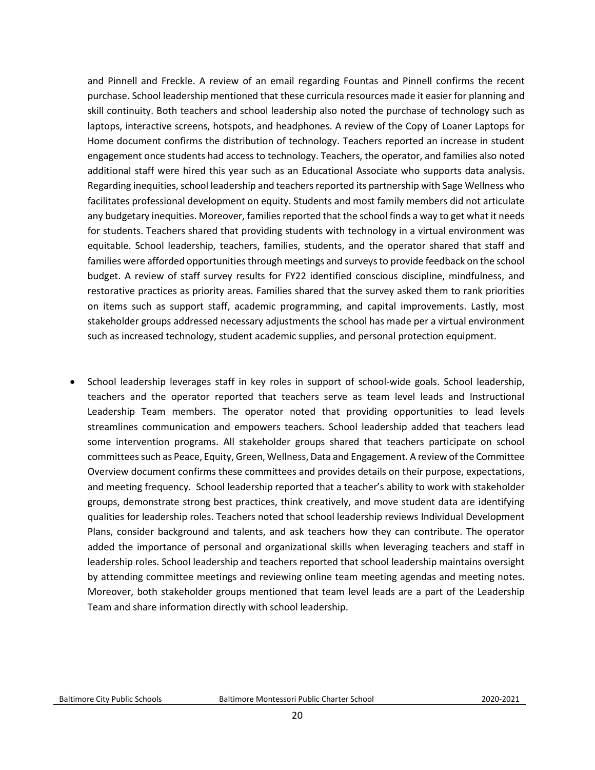and Pinnell and Freckle. A review of an email regarding Fountas and Pinnell confirms the recent purchase. School leadership mentioned that these curricula resources made it easier for planning and skill continuity. Both teachers and school leadership also noted the purchase of technology such as laptops, interactive screens, hotspots, and headphones. A review of the Copy of Loaner Laptops for Home document confirms the distribution of technology. Teachers reported an increase in student engagement once students had access to technology. Teachers, the operator, and families also noted additional staff were hired this year such as an Educational Associate who supports data analysis. Regarding inequities, school leadership and teachers reported its partnership with Sage Wellness who facilitates professional development on equity. Students and most family members did not articulate any budgetary inequities. Moreover, families reported that the school finds a way to get what it needs for students. Teachers shared that providing students with technology in a virtual environment was equitable. School leadership, teachers, families, students, and the operator shared that staff and families were afforded opportunities through meetings and surveys to provide feedback on the school budget. A review of staff survey results for FY22 identified conscious discipline, mindfulness, and restorative practices as priority areas. Families shared that the survey asked them to rank priorities on items such as support staff, academic programming, and capital improvements. Lastly, most stakeholder groups addressed necessary adjustments the school has made per a virtual environment such as increased technology, student academic supplies, and personal protection equipment.

• School leadership leverages staff in key roles in support of school-wide goals. School leadership, teachers and the operator reported that teachers serve as team level leads and Instructional Leadership Team members. The operator noted that providing opportunities to lead levels streamlines communication and empowers teachers. School leadership added that teachers lead some intervention programs. All stakeholder groups shared that teachers participate on school committees such as Peace, Equity, Green, Wellness, Data and Engagement. A review of the Committee Overview document confirms these committees and provides details on their purpose, expectations, and meeting frequency. School leadership reported that a teacher's ability to work with stakeholder groups, demonstrate strong best practices, think creatively, and move student data are identifying qualities for leadership roles. Teachers noted that school leadership reviews Individual Development Plans, consider background and talents, and ask teachers how they can contribute. The operator added the importance of personal and organizational skills when leveraging teachers and staff in leadership roles. School leadership and teachers reported that school leadership maintains oversight by attending committee meetings and reviewing online team meeting agendas and meeting notes. Moreover, both stakeholder groups mentioned that team level leads are a part of the Leadership Team and share information directly with school leadership.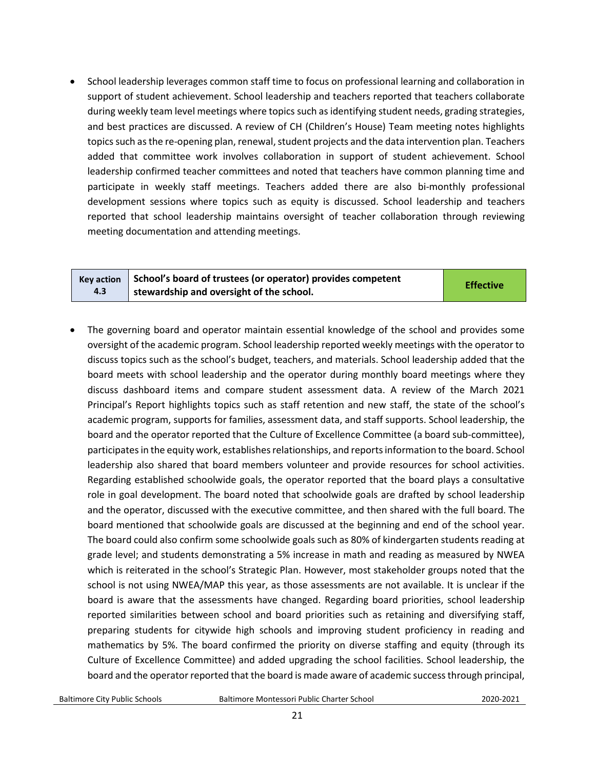• School leadership leverages common staff time to focus on professional learning and collaboration in support of student achievement. School leadership and teachers reported that teachers collaborate during weekly team level meetings where topics such as identifying student needs, grading strategies, and best practices are discussed. A review of CH (Children's House) Team meeting notes highlights topics such as the re-opening plan, renewal, student projects and the data intervention plan. Teachers added that committee work involves collaboration in support of student achievement. School leadership confirmed teacher committees and noted that teachers have common planning time and participate in weekly staff meetings. Teachers added there are also bi-monthly professional development sessions where topics such as equity is discussed. School leadership and teachers reported that school leadership maintains oversight of teacher collaboration through reviewing meeting documentation and attending meetings.

|     | Key action $\parallel$ School's board of trustees (or operator) provides competent | <b>Effective</b> |
|-----|------------------------------------------------------------------------------------|------------------|
| 4.3 | stewardship and oversight of the school.                                           |                  |

• The governing board and operator maintain essential knowledge of the school and provides some oversight of the academic program. School leadership reported weekly meetings with the operator to discuss topics such as the school's budget, teachers, and materials. School leadership added that the board meets with school leadership and the operator during monthly board meetings where they discuss dashboard items and compare student assessment data. A review of the March 2021 Principal's Report highlights topics such as staff retention and new staff, the state of the school's academic program, supports for families, assessment data, and staff supports. School leadership, the board and the operator reported that the Culture of Excellence Committee (a board sub-committee), participates in the equity work, establishes relationships, and reports information to the board. School leadership also shared that board members volunteer and provide resources for school activities. Regarding established schoolwide goals, the operator reported that the board plays a consultative role in goal development. The board noted that schoolwide goals are drafted by school leadership and the operator, discussed with the executive committee, and then shared with the full board. The board mentioned that schoolwide goals are discussed at the beginning and end of the school year. The board could also confirm some schoolwide goals such as 80% of kindergarten students reading at grade level; and students demonstrating a 5% increase in math and reading as measured by NWEA which is reiterated in the school's Strategic Plan. However, most stakeholder groups noted that the school is not using NWEA/MAP this year, as those assessments are not available. It is unclear if the board is aware that the assessments have changed. Regarding board priorities, school leadership reported similarities between school and board priorities such as retaining and diversifying staff, preparing students for citywide high schools and improving student proficiency in reading and mathematics by 5%. The board confirmed the priority on diverse staffing and equity (through its Culture of Excellence Committee) and added upgrading the school facilities. School leadership, the board and the operator reported that the board is made aware of academic success through principal,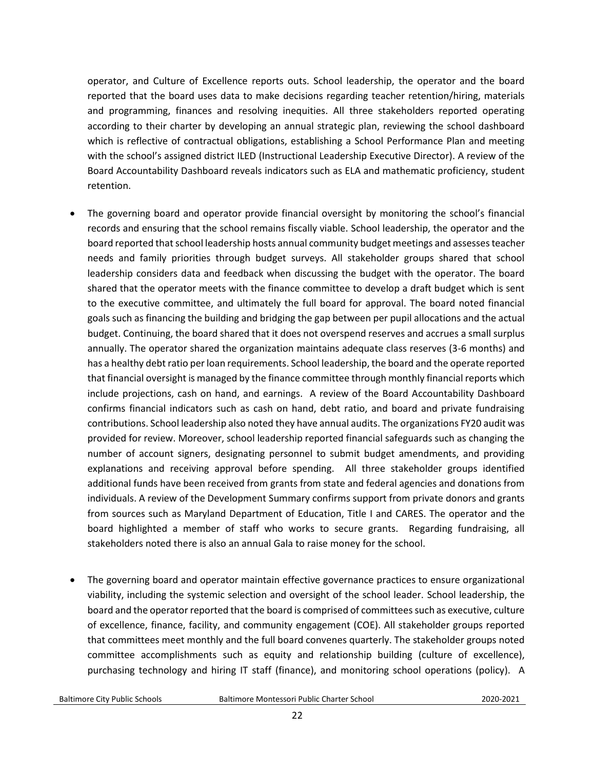operator, and Culture of Excellence reports outs. School leadership, the operator and the board reported that the board uses data to make decisions regarding teacher retention/hiring, materials and programming, finances and resolving inequities. All three stakeholders reported operating according to their charter by developing an annual strategic plan, reviewing the school dashboard which is reflective of contractual obligations, establishing a School Performance Plan and meeting with the school's assigned district ILED (Instructional Leadership Executive Director). A review of the Board Accountability Dashboard reveals indicators such as ELA and mathematic proficiency, student retention.

- The governing board and operator provide financial oversight by monitoring the school's financial records and ensuring that the school remains fiscally viable. School leadership, the operator and the board reported that school leadership hosts annual community budget meetings and assessesteacher needs and family priorities through budget surveys. All stakeholder groups shared that school leadership considers data and feedback when discussing the budget with the operator. The board shared that the operator meets with the finance committee to develop a draft budget which is sent to the executive committee, and ultimately the full board for approval. The board noted financial goals such as financing the building and bridging the gap between per pupil allocations and the actual budget. Continuing, the board shared that it does not overspend reserves and accrues a small surplus annually. The operator shared the organization maintains adequate class reserves (3-6 months) and has a healthy debt ratio per loan requirements. School leadership, the board and the operate reported that financial oversight is managed by the finance committee through monthly financial reports which include projections, cash on hand, and earnings. A review of the Board Accountability Dashboard confirms financial indicators such as cash on hand, debt ratio, and board and private fundraising contributions. School leadership also noted they have annual audits. The organizations FY20 audit was provided for review. Moreover, school leadership reported financial safeguards such as changing the number of account signers, designating personnel to submit budget amendments, and providing explanations and receiving approval before spending. All three stakeholder groups identified additional funds have been received from grants from state and federal agencies and donations from individuals. A review of the Development Summary confirms support from private donors and grants from sources such as Maryland Department of Education, Title I and CARES. The operator and the board highlighted a member of staff who works to secure grants. Regarding fundraising, all stakeholders noted there is also an annual Gala to raise money for the school.
- The governing board and operator maintain effective governance practices to ensure organizational viability, including the systemic selection and oversight of the school leader. School leadership, the board and the operator reported that the board is comprised of committees such as executive, culture of excellence, finance, facility, and community engagement (COE). All stakeholder groups reported that committees meet monthly and the full board convenes quarterly. The stakeholder groups noted committee accomplishments such as equity and relationship building (culture of excellence), purchasing technology and hiring IT staff (finance), and monitoring school operations (policy). A

Baltimore City Public Schools Baltimore Montessori Public Charter School2020-2021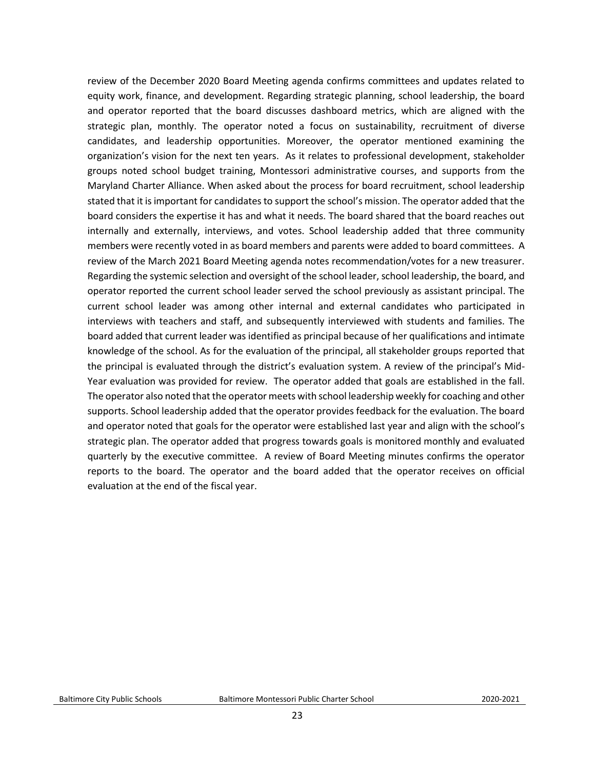review of the December 2020 Board Meeting agenda confirms committees and updates related to equity work, finance, and development. Regarding strategic planning, school leadership, the board and operator reported that the board discusses dashboard metrics, which are aligned with the strategic plan, monthly. The operator noted a focus on sustainability, recruitment of diverse candidates, and leadership opportunities. Moreover, the operator mentioned examining the organization's vision for the next ten years. As it relates to professional development, stakeholder groups noted school budget training, Montessori administrative courses, and supports from the Maryland Charter Alliance. When asked about the process for board recruitment, school leadership stated that it is important for candidates to support the school's mission. The operator added that the board considers the expertise it has and what it needs. The board shared that the board reaches out internally and externally, interviews, and votes. School leadership added that three community members were recently voted in as board members and parents were added to board committees. A review of the March 2021 Board Meeting agenda notes recommendation/votes for a new treasurer. Regarding the systemic selection and oversight of the school leader, school leadership, the board, and operator reported the current school leader served the school previously as assistant principal. The current school leader was among other internal and external candidates who participated in interviews with teachers and staff, and subsequently interviewed with students and families. The board added that current leader was identified as principal because of her qualifications and intimate knowledge of the school. As for the evaluation of the principal, all stakeholder groups reported that the principal is evaluated through the district's evaluation system. A review of the principal's Mid-Year evaluation was provided for review. The operator added that goals are established in the fall. The operator also noted that the operator meets with school leadership weekly for coaching and other supports. School leadership added that the operator provides feedback for the evaluation. The board and operator noted that goals for the operator were established last year and align with the school's strategic plan. The operator added that progress towards goals is monitored monthly and evaluated quarterly by the executive committee. A review of Board Meeting minutes confirms the operator reports to the board. The operator and the board added that the operator receives on official evaluation at the end of the fiscal year.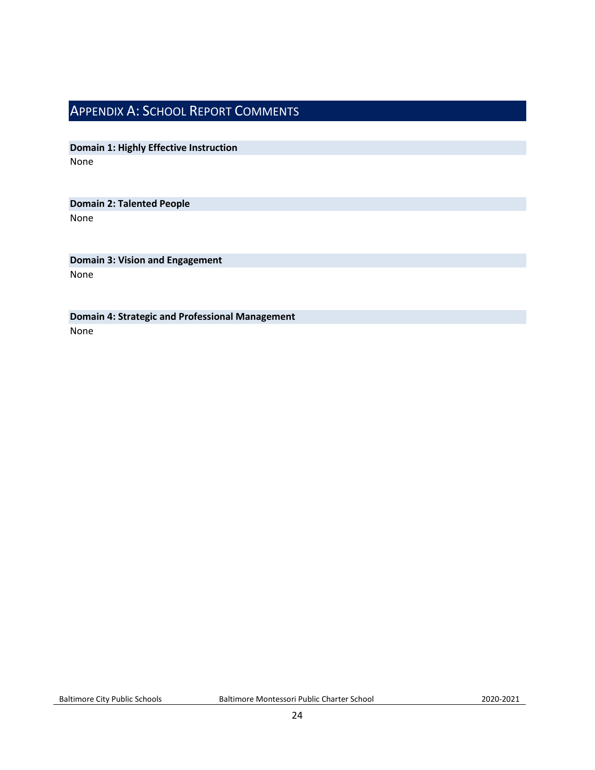# <span id="page-23-0"></span>APPENDIX A: SCHOOL REPORT COMMENTS

**Domain 1: Highly Effective Instruction** None

# **Domain 2: Talented People**

None

**Domain 3: Vision and Engagement** None

**Domain 4: Strategic and Professional Management** None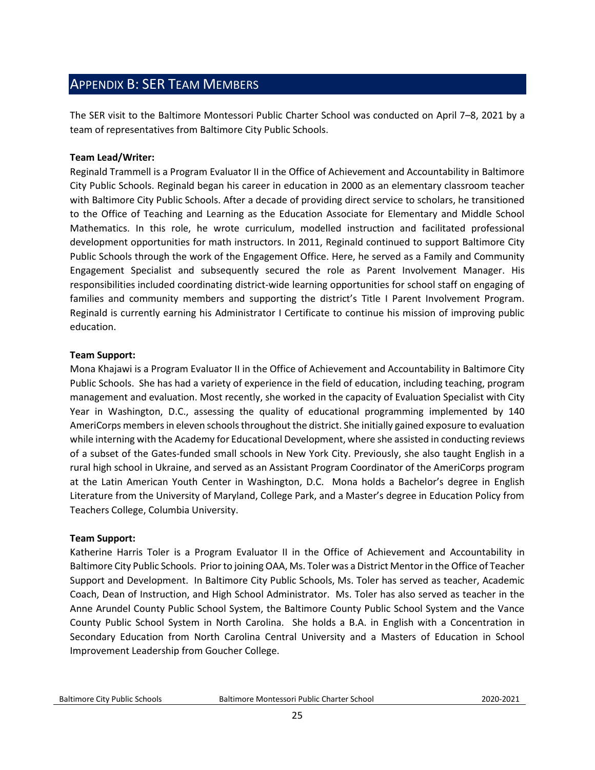# <span id="page-24-0"></span>APPENDIX B: SER TEAM MEMBERS

The SER visit to the Baltimore Montessori Public Charter School was conducted on April 7–8, 2021 by a team of representatives from Baltimore City Public Schools.

#### **Team Lead/Writer:**

Reginald Trammell is a Program Evaluator II in the Office of Achievement and Accountability in Baltimore City Public Schools. Reginald began his career in education in 2000 as an elementary classroom teacher with Baltimore City Public Schools. After a decade of providing direct service to scholars, he transitioned to the Office of Teaching and Learning as the Education Associate for Elementary and Middle School Mathematics. In this role, he wrote curriculum, modelled instruction and facilitated professional development opportunities for math instructors. In 2011, Reginald continued to support Baltimore City Public Schools through the work of the Engagement Office. Here, he served as a Family and Community Engagement Specialist and subsequently secured the role as Parent Involvement Manager. His responsibilities included coordinating district-wide learning opportunities for school staff on engaging of families and community members and supporting the district's Title I Parent Involvement Program. Reginald is currently earning his Administrator I Certificate to continue his mission of improving public education.  

#### **Team Support:**

Mona Khajawi is a Program Evaluator II in the Office of Achievement and Accountability in Baltimore City Public Schools. She has had a variety of experience in the field of education, including teaching, program management and evaluation. Most recently, she worked in the capacity of Evaluation Specialist with City Year in Washington, D.C., assessing the quality of educational programming implemented by 140 AmeriCorps members in eleven schools throughout the district. She initially gained exposure to evaluation while interning with the Academy for Educational Development, where she assisted in conducting reviews of a subset of the Gates-funded small schools in New York City. Previously, she also taught English in a rural high school in Ukraine, and served as an Assistant Program Coordinator of the AmeriCorps program at the Latin American Youth Center in Washington, D.C. Mona holds a Bachelor's degree in English Literature from the University of Maryland, College Park, and a Master's degree in Education Policy from Teachers College, Columbia University.

#### **Team Support:**

Katherine Harris Toler is a Program Evaluator II in the Office of Achievement and Accountability in Baltimore City Public Schools. Prior to joining OAA, Ms. Toler was a District Mentor in the Office of Teacher Support and Development. In Baltimore City Public Schools, Ms. Toler has served as teacher, Academic Coach, Dean of Instruction, and High School Administrator. Ms. Toler has also served as teacher in the Anne Arundel County Public School System, the Baltimore County Public School System and the Vance County Public School System in North Carolina. She holds a B.A. in English with a Concentration in Secondary Education from North Carolina Central University and a Masters of Education in School Improvement Leadership from Goucher College.